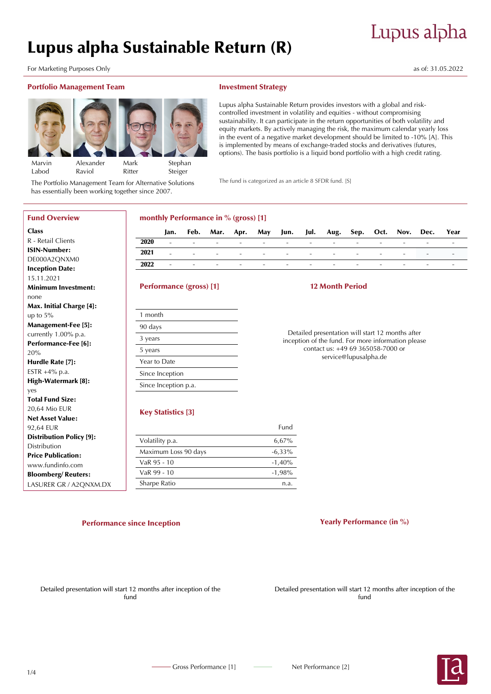# Lupus alpha

# Lupus alpha Sustainable Return (R)

For Marketing Purposes Only and the United States of: 31.05.2022 as of: 31.05.2022

Fund Overview

R - Retail Clients ISIN-Number: DE000A2QNXM0 Inception Date: 15.11.2021

Minimum Investment:

Max. Initial Charge [4]:

Management-Fee [5]: currently 1.00% p.a. Performance-Fee [6]:

Hurdle Rate [7]: ESTR +4% p.a. High-Watermark [8]:

Total Fund Size: 20,64 Mio EUR Net Asset Value: 92,64 EUR

Distribution Price Publication: www.fundinfo.com Bloomberg/ Reuters: LASURER GR / A2QNXM.DX

Distribution Policy [9]:

**Class** 

Marvin Labod

none

20%

yes

up to 5%

## Portfolio Management Team



**Stephan** Steiger

The Portfolio Management Team for Alternative Solutions has essentially been working together since 2007.

## Investment Strategy

Lupus alpha Sustainable Return provides investors with a global and riskcontrolled investment in volatility and equities - without compromising sustainability. It can participate in the return opportunities of both volatility and equity markets. By actively managing the risk, the maximum calendar yearly loss in the event of a negative market development should be limited to -10% [A]. This is implemented by means of exchange-traded stocks and derivatives (futures, options). The basis portfolio is a liquid bond portfolio with a high credit rating.

The fund is categorized as an article 8 SFDR fund. [S]

# monthly Performance in % (gross) [1]

|      | Jan.     |                                   |                                                                                                               |                               |        |                                         |                  |                          |                                 |                          |                          | Feb. Mar. Apr. May Jun. Jul. Aug. Sep. Oct. Nov. Dec. Year |                               |
|------|----------|-----------------------------------|---------------------------------------------------------------------------------------------------------------|-------------------------------|--------|-----------------------------------------|------------------|--------------------------|---------------------------------|--------------------------|--------------------------|------------------------------------------------------------|-------------------------------|
| 2020 | $\sim$ . | <b>Contract Contract Contract</b> | <b>Contract Contract</b>                                                                                      | and the state of the state of |        | the second company of the second second |                  | <b>Contract Contract</b> | and the contract of the con-    | $\overline{\phantom{0}}$ | $\sim$                   | $\sim$                                                     | and the state of the state of |
| 2021 | $\sim$   | <b>Service Contracts</b>          | 1000 - Canada Antonio Antonio Antonio Antonio Antonio Antonio Antonio Antonio Antonio Antonio Antonio Antonio |                               |        |                                         |                  |                          | the contract of the contract of | $\overline{\phantom{0}}$ | $\sim$                   | the control of the control of                              |                               |
| 2022 | $\sim$   | $\sim$                            | $\overline{\phantom{0}}$                                                                                      | <b>Contract Contract</b>      | $\sim$ | <b>Contract Contract</b>                | $\sim$ 100 $\pm$ | $\sim$                   | $\sim$                          | $\overline{\phantom{a}}$ | $\overline{\phantom{0}}$ | $\overline{\phantom{a}}$                                   | and the control of            |

## Performance (gross) [1]

# 12 Month Period

Detailed presentation will start 12 months after inception of the fund. For more information please contact us: +49 69 365058-7000 or service@lupusalpha.de

# Key Statistics [3]

|                      | Fund      |
|----------------------|-----------|
| Volatility p.a.      | 6.67%     |
| Maximum Loss 90 days | $-6.33\%$ |
| VaR 95 - 10          | $-1,40%$  |
| VaR 99 - 10          | $-1,98%$  |
| Sharpe Ratio         | n.a.      |
|                      |           |

# Performance since Inception **Performance (in %)** Performance (in %)

Detailed presentation will start 12 months after inception of the fund

Detailed presentation will start 12 months after inception of the fund

Alexander Raviol Mark

Ritter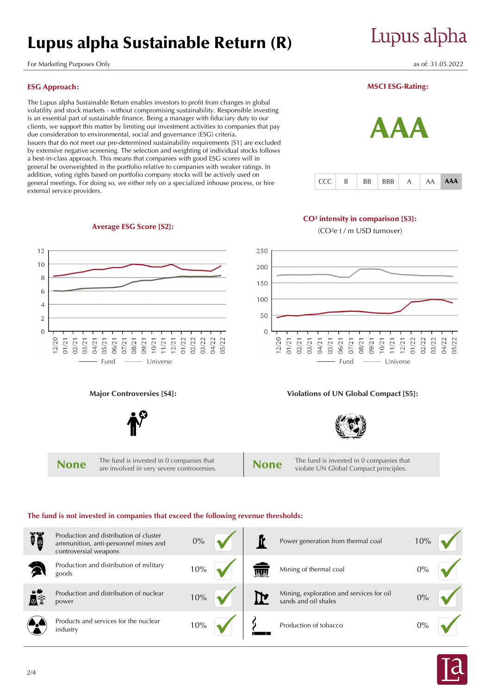# Lupus alpha Sustainable Return (R)

For Marketing Purposes Only and the United States of: 31.05.2022 as of: 31.05.2022

# ESG Approach:

The Lupus alpha Sustainable Return enables investors to profit from changes in global volatility and stock markets - without compromising sustainability. Responsible investing is an essential part of sustainable finance. Being a manager with fiduciary duty to our clients, we support this matter by limiting our investment activities to companies that pay due consideration to environmental, social and governance (ESG) criteria. Issuers that do not meet our pre-determined sustainability requirements [S1] are excluded by extensive negative screening. The selection and weighting of individual stocks follows a best-in-class approach. This means that companies with good ESG scores will in general be overweighted in the portfolio relative to companies with weaker ratings. In addition, voting rights based on portfolio company stocks will be actively used on general meetings. For doing so, we either rely on a specialized inhouse process, or hire external service providers.

Average ESG Score [S2]:

# MSCI ESG-Rating:

Lupus alpha



## CO² intensity in comparison [S3]:

(CO²e t / m USD turnover)



# **The fund is not invested in companies that exceed the following revenue thresholds:**

| Ĩŏ                   | Production and distribution of cluster<br>ammunition, anti-personnel mines and<br>controversial weapons | $0\%$ |            | Power generation from thermal coal                               | 10%   |  |
|----------------------|---------------------------------------------------------------------------------------------------------|-------|------------|------------------------------------------------------------------|-------|--|
|                      | Production and distribution of military<br>goods                                                        | 10%   | <b>WIR</b> | Mining of thermal coal                                           | $0\%$ |  |
| $\bullet$<br>$\circ$ | Production and distribution of nuclear<br>power                                                         | 10%   |            | Mining, exploration and services for oil<br>sands and oil shales | $0\%$ |  |
|                      | Products and services for the nuclear<br>industry                                                       | 10%   |            | Production of tobacco                                            | 0%    |  |

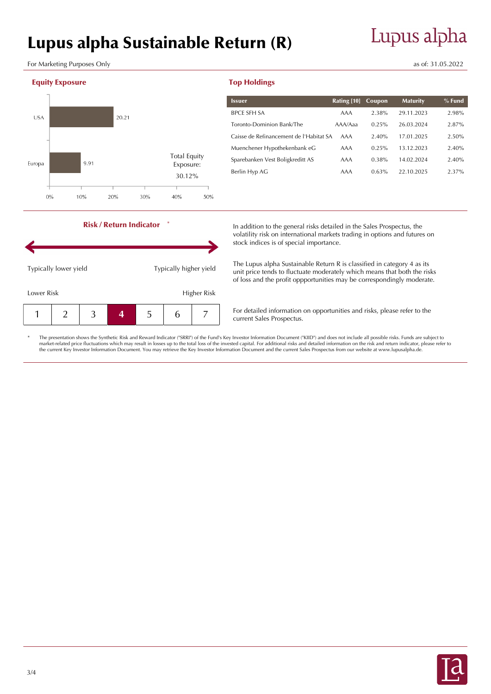# Lupus alpha Sustainable Return (R)

For Marketing Purposes Only as of: 31.05.2022

# Equity Exposure



| <b>Issuer</b>                           | Rating [10] | Coupon | <b>Maturity</b> | $%$ Fund |
|-----------------------------------------|-------------|--------|-----------------|----------|
| <b>BPCE SFH SA</b>                      | AAA         | 2.38%  | 29.11.2023      | 2.98%    |
| Toronto-Dominion Bank/The               | AAA/Aaa     | 0.25%  | 26.03.2024      | 2.87%    |
| Caisse de Refinancement de l'Habitat SA | AAA         | 2.40%  | 17.01.2025      | 2.50%    |
| Muenchener Hypothekenbank eG            | AAA         | 0.25%  | 13.12.2023      | 2.40%    |
| Sparebanken Vest Boligkreditt AS        | AAA         | 0.38%  | 14.02.2024      | 2.40%    |
| Berlin Hyp AG                           | AAA         | 0.63%  | 22.10.2025      | $2.37\%$ |



Risk / Return Indicator

\*

In addition to the general risks detailed in the Sales Prospectus, the volatility risk on international markets trading in options and futures on stock indices is of special importance.

The Lupus alpha Sustainable Return R is classified in category 4 as its unit price tends to fluctuate moderately which means that both the risks of loss and the profit oppportunities may be correspondingly moderate.

For detailed information on opportunities and risks, please refer to the current Sales Prospectus.

The presentation shows the Synthetic Risk and Reward Indicator ("SRRI") of the Fund's Key Investor Information Document ("KIID") and does not include all possible risks. Funds are subject to market-related price fluctuations which may result in losses up to the total loss of the invested capital. For additional risks and detailed information on the risk and return indicator, please refer to<br>the current Key Inv

Top Holdings

# Lupus alpha